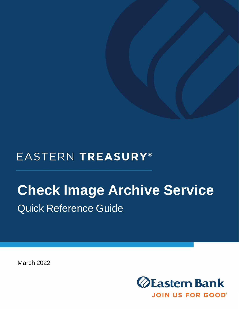# EASTERN TREASURY®

# **Check Image Archive Service** Quick Reference Guide

March 2022

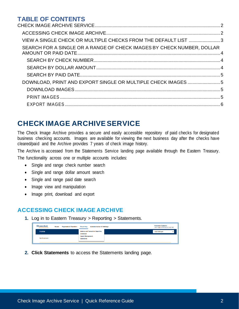## **TABLE OF CONTENTS**

| VIEW A SINGLE CHECK OR MULTIPLE CHECKS FROM THE DEFAULT LIST 3         |  |
|------------------------------------------------------------------------|--|
| SEARCH FOR A SINGLE OR A RANGE OF CHECK IMAGES BY CHECK NUMBER, DOLLAR |  |
|                                                                        |  |
|                                                                        |  |
|                                                                        |  |
| DOWNLOAD, PRINT AND EXPORT SINGLE OR MULTIPLE CHECK IMAGES 5           |  |
|                                                                        |  |
|                                                                        |  |
|                                                                        |  |
|                                                                        |  |

# <span id="page-1-0"></span>**CHECK IMAGE ARCHIVE SERVICE**

The Check Image Archive provides a secure and easily accessible repository of paid checks for designated business checking accounts. Images are available for viewing the next business day after the checks have cleared/paid and the Archive provides 7 years of check image history.

The Archive is accessed from the Statements Service landing page available through the Eastern Treasury. The functionality across one or multiple accounts includes:

- Single and range check number search
- Single and range dollar amount search
- Single and range paid date search
- Image view and manipulation
- Image print, download and export

#### <span id="page-1-1"></span>**ACCESSING CHECK IMAGE ARCHIVE**

**1.** Log in to Eastern Treasury > Reporting > Statements.

| <b>ZEastern Bank</b><br>Home<br>JOIN US FOR GOOD | <b>Payments &amp; Transfers</b> | Reporting                                     | <b>Administration &amp; Settings</b>     |  | <b>Marianne Robbins</b><br>Last Login: 11/18/2020 11:47 AM |              |
|--------------------------------------------------|---------------------------------|-----------------------------------------------|------------------------------------------|--|------------------------------------------------------------|--------------|
| Home                                             |                                 | Download                                      | <b>Balance and Transaction Reporting</b> |  | <b>Add Widget</b>                                          | $\checkmark$ |
| Notifications                                    |                                 | <b>Report Management</b><br><b>Statements</b> |                                          |  |                                                            |              |

**2. Click Statements** to access the Statements landing page.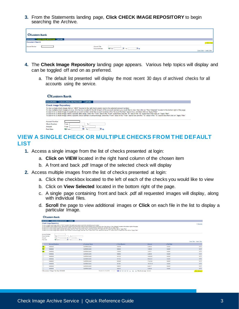**3.** From the Statements landing page, **Click CHECK IMAGE REPOSITORY** to begin searching the Archive.

| <b>Eastern Bank</b>                     |                                                                |                             |
|-----------------------------------------|----------------------------------------------------------------|-----------------------------|
| DOCUMENTS CHECK IMAGE REPOSITORY EXPORT |                                                                |                             |
| Document Search                         |                                                                | Show help                   |
| Account Number                          | <b>Account Title</b>                                           |                             |
|                                         | E<br>T <sub>0</sub><br><b>Ref</b> From<br><b>Document Date</b> |                             |
|                                         |                                                                | Clear Filter   Apply Filter |

- **4.** The **Check Image Repository** landing page appears. Various help topics will display and can be toggled off and on as preferred.
	- a. The default list presented will display the most recent 30 days of archived checks for all accounts using the service.

| <b>ZEastern Bank</b>          |                                                                                                                                                                                                                                                                                                                                                                                                                                                                                                                                                                                                                                                                                                                                                                                                                                                                                      |                           |  |  |  |  |  |  |
|-------------------------------|--------------------------------------------------------------------------------------------------------------------------------------------------------------------------------------------------------------------------------------------------------------------------------------------------------------------------------------------------------------------------------------------------------------------------------------------------------------------------------------------------------------------------------------------------------------------------------------------------------------------------------------------------------------------------------------------------------------------------------------------------------------------------------------------------------------------------------------------------------------------------------------|---------------------------|--|--|--|--|--|--|
| <b>DOCUMENTS</b>              | <b>CHECK IMAGE REPOSITORY</b>                                                                                                                                                                                                                                                                                                                                                                                                                                                                                                                                                                                                                                                                                                                                                                                                                                                        | <b>EXPORT</b>             |  |  |  |  |  |  |
| <b>Check Image Repository</b> |                                                                                                                                                                                                                                                                                                                                                                                                                                                                                                                                                                                                                                                                                                                                                                                                                                                                                      |                           |  |  |  |  |  |  |
|                               | To view a single check image click on "VIEW" located in the right hand column next to the selected account number.<br>To view multiple check images at once, click the box located to the left of each of the account numbers you would like to view, then click on "View Selected" located in the bottom right of the page.<br>To search for a check image of a particular account number, enter the account number in the "Account Number" search box, and then click on "Apply Filter".<br>To search for a check image within a specific date range, enter the "From" date in the "From" search box and the "To" date in the "To" search box then click on "Apply Filter".<br>To search for a check image within a specific check number or amount range, enter the "From" value in the "From" search box and the "To" value in the "To" search box then click on "Apply Filter". |                           |  |  |  |  |  |  |
| <b>Account Number</b>         |                                                                                                                                                                                                                                                                                                                                                                                                                                                                                                                                                                                                                                                                                                                                                                                                                                                                                      |                           |  |  |  |  |  |  |
| <b>Check Number</b>           | From                                                                                                                                                                                                                                                                                                                                                                                                                                                                                                                                                                                                                                                                                                                                                                                                                                                                                 | To                        |  |  |  |  |  |  |
| Amount                        | From                                                                                                                                                                                                                                                                                                                                                                                                                                                                                                                                                                                                                                                                                                                                                                                                                                                                                 | To                        |  |  |  |  |  |  |
| <b>Paid Date</b>              | <b>The From</b>                                                                                                                                                                                                                                                                                                                                                                                                                                                                                                                                                                                                                                                                                                                                                                                                                                                                      | $\blacksquare$<br>×<br>To |  |  |  |  |  |  |

#### <span id="page-2-0"></span>**VIEW A SINGLE CHECK OR MULTIPLE CHECKS FROM THE DEFAULT LIST**

- **1.** Access a single image from the list of checks presented at login:
	- a. **Click on VIEW** located in the right hand column of the chosen item
	- b. A front and back .pdf Image of the selected check will display
- **2.** Access multiple images from the list of checks presented at login:
	- a. Click the checkbox located to the left of each of the checks you would like to view
	- b. Click on **View Selected** located in the bottom right of the page.
	- c. A single page containing front and back .pdf all requested images will display, along with individual files.
	- d. **Scroll** the page to view additional images or **Click** on each file in the list to display a particular Image.

|                               | <b>V</b> 2 Lastern Bank                                                                                                                                                                                                                                                                                                                                                                                                                                                                                                                                                                                                                                                                                                                           |                                      |                                         |            |           |                             |  |  |  |
|-------------------------------|---------------------------------------------------------------------------------------------------------------------------------------------------------------------------------------------------------------------------------------------------------------------------------------------------------------------------------------------------------------------------------------------------------------------------------------------------------------------------------------------------------------------------------------------------------------------------------------------------------------------------------------------------------------------------------------------------------------------------------------------------|--------------------------------------|-----------------------------------------|------------|-----------|-----------------------------|--|--|--|
|                               | DOCUMENTS CHECK IMAGE REPOSITORY EXPORT                                                                                                                                                                                                                                                                                                                                                                                                                                                                                                                                                                                                                                                                                                           |                                      |                                         |            |           |                             |  |  |  |
|                               | <b>Check Image Repository</b><br>- Hide help                                                                                                                                                                                                                                                                                                                                                                                                                                                                                                                                                                                                                                                                                                      |                                      |                                         |            |           |                             |  |  |  |
|                               | To view a single check image click on "VIEW" located in the right hand column next to the selected account number.<br>To view multiple check images at once, click the box located to the left of each of the account numbers you would like to view, then click on "View Selected" located in the bottom right of the page.<br>To search for a check i<br>To search for a check image within a specific date range, enter the "From" date in the "From" search box and the "To" date in the "To" search box then click on "Apply Filter".<br>To search for a check image within a specific check number or amount range, enter the "From" value in the "From" search box and the "To" value in the "To" search box then click on "Apply Filter". |                                      |                                         |            |           |                             |  |  |  |
| <b>Account Number</b>         |                                                                                                                                                                                                                                                                                                                                                                                                                                                                                                                                                                                                                                                                                                                                                   |                                      |                                         |            |           |                             |  |  |  |
| <b>Check Number</b><br>Amount | From<br>To<br>From<br>Tο                                                                                                                                                                                                                                                                                                                                                                                                                                                                                                                                                                                                                                                                                                                          |                                      |                                         |            |           |                             |  |  |  |
| Paid Date                     | ≂<br>$= 0.$<br><b>The From</b><br>To                                                                                                                                                                                                                                                                                                                                                                                                                                                                                                                                                                                                                                                                                                              |                                      |                                         |            |           |                             |  |  |  |
|                               |                                                                                                                                                                                                                                                                                                                                                                                                                                                                                                                                                                                                                                                                                                                                                   |                                      |                                         |            |           | Clear Filter   Apply Filter |  |  |  |
|                               | <b>Account Numbers</b>                                                                                                                                                                                                                                                                                                                                                                                                                                                                                                                                                                                                                                                                                                                            | <b>E Customer Name</b>               | <b>FCheck Number</b>                    | Amount     | Paid Date |                             |  |  |  |
| <b>K</b><br>00000022          |                                                                                                                                                                                                                                                                                                                                                                                                                                                                                                                                                                                                                                                                                                                                                   | <b>EASTERN RANK</b>                  | 1916798                                 | 3,000.00   | 1/8/2021  | VIEW                        |  |  |  |
| $\bullet$<br>00000022         |                                                                                                                                                                                                                                                                                                                                                                                                                                                                                                                                                                                                                                                                                                                                                   | <b>EASTERN BANK</b>                  | 1885560                                 | 1.000.00   | 1/8/2021  | VIEW                        |  |  |  |
| Ø.<br>00000022                |                                                                                                                                                                                                                                                                                                                                                                                                                                                                                                                                                                                                                                                                                                                                                   | <b>EASTERN BANK</b>                  | 1775870                                 | 1,879.71   | 1/8/2021  | VIEW                        |  |  |  |
| $\Box$<br>00000022<br>-       |                                                                                                                                                                                                                                                                                                                                                                                                                                                                                                                                                                                                                                                                                                                                                   | <b>EASTERN RANK</b>                  | 1888482                                 | 2,286.98   | 1/8/2021  | VIEW                        |  |  |  |
| $\Box$<br>00000022            |                                                                                                                                                                                                                                                                                                                                                                                                                                                                                                                                                                                                                                                                                                                                                   | <b>EASTERN BANK</b>                  | 1911336                                 | 10,989.99  | 1/8/2021  | <b>VIEW</b>                 |  |  |  |
| $\Box$<br>00000022            |                                                                                                                                                                                                                                                                                                                                                                                                                                                                                                                                                                                                                                                                                                                                                   | <b>EASTERN BANK</b>                  | 1911353                                 | 55.520.34  | 1/8/2021  | VIEW                        |  |  |  |
| $\Box$<br>00000022            |                                                                                                                                                                                                                                                                                                                                                                                                                                                                                                                                                                                                                                                                                                                                                   | <b>FASTERN RANK</b>                  | 1902380                                 | 17 441 04  | 1/8/2021  | VIEW                        |  |  |  |
| $\Box$<br>00000022            |                                                                                                                                                                                                                                                                                                                                                                                                                                                                                                                                                                                                                                                                                                                                                   | <b>EASTERN BANK</b>                  | 1901901                                 | 155,781.63 | 1/8/2021  | VIEW                        |  |  |  |
| $\Box$<br>00000022            |                                                                                                                                                                                                                                                                                                                                                                                                                                                                                                                                                                                                                                                                                                                                                   | <b>EASTERN BANK</b>                  | 1919970                                 | 9.840.17   | 1/8/2021  | VIEW                        |  |  |  |
| 0<br>00000022                 |                                                                                                                                                                                                                                                                                                                                                                                                                                                                                                                                                                                                                                                                                                                                                   | <b>EASTERN BANK</b>                  | 1925416                                 | 5,000.00   | 1/8/2021  | VIEW                        |  |  |  |
|                               | 3 Documents / 3 Pages / Est. Size 159.06 KB                                                                                                                                                                                                                                                                                                                                                                                                                                                                                                                                                                                                                                                                                                       | Results 1 to 10 of 2351<br>$14 - 44$ | 1 2 3 4 5 9 H H Results per page [10 w] |            |           | View Selected               |  |  |  |

 $\alpha$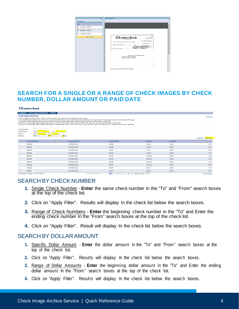

#### <span id="page-3-0"></span>**SEARCH FOR A SINGLE OR A RANGE OF CHECK IMAGES BY CHECK NUMBER, DOLLAR AMOUNT OR PAID DATE**

| <b>ZEastern Bank</b>                                                |                               |                                                                                                                    |                                                                                                                                                                                                                                                                                                                                                                                                                                                                                                                                                                                                                                                                                                                                                               |                                                                        |               |             |                             |
|---------------------------------------------------------------------|-------------------------------|--------------------------------------------------------------------------------------------------------------------|---------------------------------------------------------------------------------------------------------------------------------------------------------------------------------------------------------------------------------------------------------------------------------------------------------------------------------------------------------------------------------------------------------------------------------------------------------------------------------------------------------------------------------------------------------------------------------------------------------------------------------------------------------------------------------------------------------------------------------------------------------------|------------------------------------------------------------------------|---------------|-------------|-----------------------------|
|                                                                     |                               | DOCUMENTS CHECK IMAGE REPOSITORY EXPORT                                                                            |                                                                                                                                                                                                                                                                                                                                                                                                                                                                                                                                                                                                                                                                                                                                                               |                                                                        |               |             |                             |
|                                                                     | <b>Check Image Repository</b> |                                                                                                                    |                                                                                                                                                                                                                                                                                                                                                                                                                                                                                                                                                                                                                                                                                                                                                               |                                                                        |               |             | - Hide help                 |
|                                                                     |                               | To view a single check image click on "VIEW" located in the right hand column next to the selected account number. | To view multiple check images at once, click the box located to the left of each of the account numbers you would like to view, then click on "View Selected" located in the bottom right of the page.<br>To search for a check image of a particular account number, enter the account number in the "Account Number" search box, and then click on "Apply Filter"<br>To search for a check image within a specific date range, enter the "From" date in the "From" search box and the "To" date in the "To" search box then click on "Apply Filter".<br>To search for a check image within a specific check number or amount range, enter the "From" value in the "From" search box and the "To" value in the "To" search box then click on "Apply Filter". |                                                                        |               |             |                             |
| <b>Account Number</b><br><b>Check Number</b><br>Amount<br>Paid Date |                               | From<br>To<br>To<br>From<br>$T_0$<br><b>EnFrom</b><br>$ \omega$                                                    |                                                                                                                                                                                                                                                                                                                                                                                                                                                                                                                                                                                                                                                                                                                                                               |                                                                        |               |             |                             |
|                                                                     |                               |                                                                                                                    |                                                                                                                                                                                                                                                                                                                                                                                                                                                                                                                                                                                                                                                                                                                                                               |                                                                        |               |             | Clear Filter   Apply Filter |
| m.                                                                  | <b>Account Numbers</b>        |                                                                                                                    | ▶ Customer Name                                                                                                                                                                                                                                                                                                                                                                                                                                                                                                                                                                                                                                                                                                                                               | ▶ Check Number                                                         | <b>Amount</b> | ▶ Paid Date |                             |
| 0                                                                   | 00000022                      |                                                                                                                    | <b>EASTERN BANK</b>                                                                                                                                                                                                                                                                                                                                                                                                                                                                                                                                                                                                                                                                                                                                           | 1916798                                                                | 3.000.00      | 1/8/2021    | <b>VIEW</b>                 |
| $\Box$                                                              | 00000022                      |                                                                                                                    | <b>EASTERN BANK</b>                                                                                                                                                                                                                                                                                                                                                                                                                                                                                                                                                                                                                                                                                                                                           | 1885560                                                                | 1.000.00      | 1/8/2021    | <b>VIEW</b>                 |
| $\Box$                                                              | 00000022/                     |                                                                                                                    | <b>EASTERN BANK</b>                                                                                                                                                                                                                                                                                                                                                                                                                                                                                                                                                                                                                                                                                                                                           | 1775879                                                                | 1,879.71      | 1/8/2021    | <b>VIEW</b>                 |
| 0                                                                   | 000000224                     |                                                                                                                    | <b>EASTERN BANK</b>                                                                                                                                                                                                                                                                                                                                                                                                                                                                                                                                                                                                                                                                                                                                           | 1888482                                                                | 2.286.98      | 1/8/2021    | <b>VIEW</b>                 |
| $\Box$                                                              | 00000022                      |                                                                                                                    | <b>EASTERN BANK</b>                                                                                                                                                                                                                                                                                                                                                                                                                                                                                                                                                                                                                                                                                                                                           | 1911336                                                                | 10.989.99     | 1/8/2021    | <b>VIEW</b>                 |
| $\Box$                                                              | 00000022                      |                                                                                                                    | <b>EASTERN BANK</b>                                                                                                                                                                                                                                                                                                                                                                                                                                                                                                                                                                                                                                                                                                                                           | 1911353                                                                | 55.520.34     | 1/8/2021    | <b>VIEW</b>                 |
| $\Box$                                                              | 00000022                      |                                                                                                                    | <b>EASTERN BANK</b>                                                                                                                                                                                                                                                                                                                                                                                                                                                                                                                                                                                                                                                                                                                                           | 1902380                                                                | 17.441.04     | 1/8/2021    | <b>VIEW</b>                 |
| 0                                                                   | 00000022                      |                                                                                                                    | <b>EASTERN BANK</b>                                                                                                                                                                                                                                                                                                                                                                                                                                                                                                                                                                                                                                                                                                                                           | 1901901                                                                | 155,781.63    | 1/8/2021    | <b>VIEW</b>                 |
| $\Box$                                                              | 00000022                      |                                                                                                                    | <b>EASTERN BANK</b>                                                                                                                                                                                                                                                                                                                                                                                                                                                                                                                                                                                                                                                                                                                                           | 1919970                                                                | 9.840.17      | 1/8/2021    | <b>VIEW</b>                 |
| n.                                                                  | 0000002                       |                                                                                                                    | <b>EASTERN BANK</b>                                                                                                                                                                                                                                                                                                                                                                                                                                                                                                                                                                                                                                                                                                                                           | 1925416                                                                | 5.000.00      | 1/8/2021    | <b>VIEW</b>                 |
|                                                                     |                               | 0 Documents / 0 Pages / Est. Size 0 Bytes                                                                          | Results 1 to 10 of 2351<br>$ 4 - 44 $                                                                                                                                                                                                                                                                                                                                                                                                                                                                                                                                                                                                                                                                                                                         | $1\overline{2}$<br>址<br><b>H</b> Results per page<br>$-5$<br><b>一上</b> | $10 \times$   |             | <b>View Selected</b>        |

#### <span id="page-3-1"></span>SEARCH BY CHECK NUMBER

- **1.** Single Check Number **Enter** the same check number in the "To" and "From" search boxes at the top of the check list.
- **2.** Click on "Apply Filter". Results will display In the check list below the search boxes.
- **3.** Range of Check Numbers **Enter** the beginning check number in the "To" and Enter the ending check number In the "From" search boxes at the top of the check list.
- **4.** Click on "Apply Filter". Result will display In the check list below the search boxes.

#### <span id="page-3-2"></span>SEARCH BY DOLLAR AMOUNT

- **1.** Specific Dollar Amount **Enter** the dollar amount in the "To" and "From" search boxes at the top of the check list.
- **2.** Click on "Apply Filter". Results will display In the check list below the search boxes.
- **3.** Range of Dollar Amounts **Enter** the beginning dollar amount in the "To" and Enter the ending dollar amount In the "From" search boxes at the top of the check list.
- **4.** Click on "Apply Filter". Results will display In the check list below the search boxes.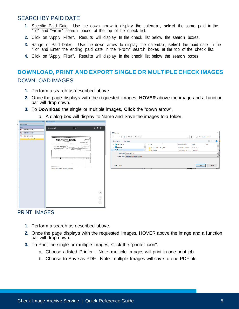#### <span id="page-4-0"></span>SEARCH BY PAID DATE

- **1.** Specific Paid Date Use the down arrow to display the calendar, **select** the same paid in the "To" and "From" search boxes at the top of the check list.
- **2.** Click on "Apply Filter". Results will display In the check list below the search boxes.
- **3.** Range of Paid Dates Use the down arrow to display the calendar, **select** the paid date in the "To" and Enter the ending paid date In the "From" search boxes at the top of the check list.
- **4.** Click on "Apply Filter". Results will display In the check list below the search boxes.

# <span id="page-4-2"></span><span id="page-4-1"></span>**DOWNLOAD, PRINT AND EXPORT SINGLE OR MULTIPLE CHECK IMAGES** DOWNLOAD IMAGES

- **1.** Perform a search as described above.
- **2.** Once the page displays with the requested images, **HOVER** above the image and a function bar will drop down.
- **3.** To **Download** the single or multiple images, **Click** the "down arrow".
	- a. A dialog box will display to Name and Save the images to a folder.

| <b>Documents</b>                |                                                                           |                                                                                                                         |                                 |                                |                         |
|---------------------------------|---------------------------------------------------------------------------|-------------------------------------------------------------------------------------------------------------------------|---------------------------------|--------------------------------|-------------------------|
| Title                           | $0 \pm 6$<br>$1/3$<br>document.pdf                                        |                                                                                                                         |                                 |                                |                         |
| 1862566 10/6/2020               |                                                                           |                                                                                                                         |                                 |                                |                         |
| $\frac{1}{2}$ 1804160 10/6/2020 |                                                                           | Save As                                                                                                                 |                                 |                                | $\times$                |
| 1885415 10/6/2020               |                                                                           | ← → v ↑ H > This PC > Documents                                                                                         |                                 | $\vee$ 0                       | $\rho$ Search Documents |
| View / Print All                | 相談<br>Na.01862566                                                         |                                                                                                                         |                                 |                                |                         |
|                                 | <b><i>©Eastern Bank</i></b><br>DATE June 17, 2020                         | $\begin{tabular}{ll} \textbf{Organize}&\textbf{${\color{blue}\blacktriangledown}$} & \textbf{New folder} \end{tabular}$ |                                 |                                | 御来し<br>$\bullet$        |
|                                 | eatup tensive polluts rep 2580 CENTERS<br>00.000.000000000                | > 3D Objects                                                                                                            | $\widehat{\phantom{a}}$<br>Name | Date modified<br>Type          | Size                    |
|                                 | States wastom anook PROPERTIES ##<br>THE MANUSCRIPT OF THE THE MANUSCRIPT | > Desktop                                                                                                               | п<br>Custom Office Templates    | 6/11/2018 12:00 PM File folder |                         |
|                                 |                                                                           | $\Rightarrow$ $\bigoplus$ Documents                                                                                     | $\checkmark$<br>New folder      | 10/19/2018 10:29  File folder  |                         |
|                                 |                                                                           | File name: document (1)                                                                                                 |                                 |                                |                         |
|                                 |                                                                           | Save as type: Adobe Acrobat Document                                                                                    |                                 |                                |                         |
|                                 | 7.77                                                                      |                                                                                                                         |                                 |                                |                         |
|                                 |                                                                           |                                                                                                                         |                                 |                                |                         |
|                                 |                                                                           |                                                                                                                         |                                 |                                |                         |
|                                 |                                                                           | $\land$ Hide Folders                                                                                                    |                                 |                                | Save<br>Cancel          |
|                                 | Check Number: 1862566 Paid Date: 06/25/2020                               |                                                                                                                         |                                 | <b>TPRESSIVALES</b>            | <b>The County</b>       |
|                                 |                                                                           |                                                                                                                         |                                 |                                |                         |
|                                 |                                                                           |                                                                                                                         |                                 |                                |                         |
|                                 |                                                                           |                                                                                                                         |                                 |                                |                         |
|                                 |                                                                           |                                                                                                                         |                                 |                                |                         |
|                                 |                                                                           |                                                                                                                         |                                 |                                |                         |
|                                 |                                                                           |                                                                                                                         |                                 |                                |                         |
|                                 |                                                                           |                                                                                                                         |                                 |                                |                         |
|                                 |                                                                           |                                                                                                                         |                                 |                                |                         |
|                                 |                                                                           | $\frac{45}{37}$                                                                                                         |                                 |                                |                         |
|                                 |                                                                           |                                                                                                                         |                                 |                                |                         |
|                                 |                                                                           | $\begin{pmatrix} + \end{pmatrix}$                                                                                       |                                 |                                |                         |
|                                 |                                                                           |                                                                                                                         |                                 |                                |                         |
|                                 |                                                                           | $\bigodot$                                                                                                              |                                 |                                |                         |
|                                 |                                                                           |                                                                                                                         |                                 |                                |                         |
|                                 |                                                                           |                                                                                                                         |                                 |                                |                         |
|                                 |                                                                           |                                                                                                                         |                                 |                                |                         |

#### <span id="page-4-3"></span>PRINT IMAGES

- **1.** Perform a search as described above.
- **2.** Once the page displays with the requested images, HOVER above the image and a function bar will drop down.
- **3.** To Print the single or multiple images, Click the "printer icon".
	- a. Choose a listed Printer Note: multiple Images will print in one print job
	- b. Choose to Save as PDF Note: multiple Images will save to one PDF file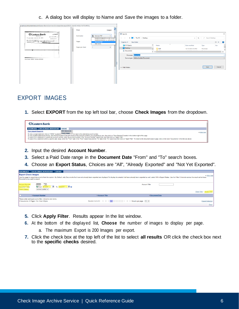c. A dialog box will display to Name and Save the images to a folder.

| gvuat-us.computershare.com/EasternBank/Common/EnvelopeView.aspx/SRVK=dpwsZ-mGZy1lDXTfyMiEYg                                                                                                 |                                                                                                                                                                   |                                                                                                                                                                                                                                                                                                                                                                                                                   |
|---------------------------------------------------------------------------------------------------------------------------------------------------------------------------------------------|-------------------------------------------------------------------------------------------------------------------------------------------------------------------|-------------------------------------------------------------------------------------------------------------------------------------------------------------------------------------------------------------------------------------------------------------------------------------------------------------------------------------------------------------------------------------------------------------------|
| and the company's property and the                                                                                                                                                          | Print<br>3 pages                                                                                                                                                  |                                                                                                                                                                                                                                                                                                                                                                                                                   |
| <b><i>©Eastern Bank</i></b><br>No.01862566<br>DATE Jane 17, 2020<br>For anne nouses passes we dan divises<br><b>FERTHERED, 000.00</b><br>$\frac{m}{1000}$ mean more mass meaning in<br>13 T | Save as PDF<br>Destination<br>POEP03223BW03 on v001print01<br>POEP03223CO01 on v001print01<br>Pages<br>Save as PDF<br>See more<br>Pages per sheet<br>$\mathbf{v}$ | Save As<br>$\times$<br>↑   > This PC > Desktop<br>C Search Desktop<br>$\vee$ 0<br>$\leftarrow$ $\rightarrow$ $\rightarrow$<br>御来し<br>$\bullet$<br>Organize $\star$ New folder<br>$\wedge$<br>3D Objects<br>$\wedge$<br>Type<br>Date modified<br>Size<br>Name<br>Desktop<br>AAP<br>File folder<br>10/15/2020 3:43 PM<br>Documents<br><b>Contract Contract</b><br>.<br>man and and<br>$\vee$ $\lt$<br>$\rightarrow$ |
| $\sim$<br>Check Number: 1862586 Paid Date: 06/25/2020                                                                                                                                       |                                                                                                                                                                   | File name: document<br>Save as type: Adobe Acrobat Document<br>Cancel<br>Save<br>$\land$ Hide Folders                                                                                                                                                                                                                                                                                                             |
|                                                                                                                                                                                             |                                                                                                                                                                   |                                                                                                                                                                                                                                                                                                                                                                                                                   |

### <span id="page-5-0"></span>EXPORT IMAGES

**1.** Select **EXPORT** from the top left tool bar, choose **Check Images** from the dropdown.

| <b>ZEastern Bank</b>                                                                         |                                                                                                                                                                                                                                                                                                                                                                                                                                                                                                                                                                                                                                                                        |               |
|----------------------------------------------------------------------------------------------|------------------------------------------------------------------------------------------------------------------------------------------------------------------------------------------------------------------------------------------------------------------------------------------------------------------------------------------------------------------------------------------------------------------------------------------------------------------------------------------------------------------------------------------------------------------------------------------------------------------------------------------------------------------------|---------------|
| <b>DOCUMENTS CHECK IMAGE REPOSITORY</b>                                                      | <b>EXPORT</b>                                                                                                                                                                                                                                                                                                                                                                                                                                                                                                                                                                                                                                                          |               |
| <b>Document Search</b><br>To view a single statement click on "VIEW" located in Check Images | <b>DDA Statements</b><br>mn next to the selected account number.<br>To view multiple statements at once, click the box located to the left of each of the account numbers you would like to view, then click on "View Selected" located in the bottom right of the page.<br>To search for a statement of a particular account number, enter the account number in the "Account Number" search box, and then click on "Apply Filter".<br>To search for a statement within a specific date range, enter the "From" date in the "From" search box and the "To" date in the "To" search box then dick on "Apply Filter". To return to the document search page, click on t | $-$ Hide help |

- **2.** Input the desired **Account Number**.
- **3.** Select a Paid Date range in the **Document Date** "From" and "To" search boxes.
- **4.** Choose an **Export Status**, Choices are "All", "Already Exported" and "Not Yet Exported".

| DOCUMENTS CHECK IMAGE REPOSITORY EXPORT                                                                                                                                                                                                                                                                                         |               |                      |                |  |  |  |
|---------------------------------------------------------------------------------------------------------------------------------------------------------------------------------------------------------------------------------------------------------------------------------------------------------------------------------|---------------|----------------------|----------------|--|--|--|
| <b>Export Check Images</b><br>$\blacktriangleright$ Hide help<br>Use this page to export documents from the system. By Default, only Documents that have not already been exported are displayed. To display documents that have already been exported as well, select 'All' in Export Status.<br>Documents you want to export. |               |                      |                |  |  |  |
| 0000000<br>Account Number<br><b>AEO</b><br>9/1/2020<br>$\overline{\mathbf{z}}$<br>9/30/2020<br>To<br>$F$ From<br>Document Date<br>Export Status<br>Not Yet Exported v                                                                                                                                                           |               | <b>Account Title</b> | Clear Filter 1 |  |  |  |
| Account Number                                                                                                                                                                                                                                                                                                                  | Account Title | Document Date        |                |  |  |  |
| Please enter and apply some filter criteria to view items.<br>Results 0 to 0 of 0                  <br>$\Rightarrow$ $\Rightarrow$ $\Rightarrow$ $\Rightarrow$ $\Rightarrow$ Results per page 10 $\sim$<br>0 Documents / 0 Pages / Est. Size 0 Bytes<br><b>Export Selected</b><br>Close                                         |               |                      |                |  |  |  |

- **5.** Click **Apply Filter**. Results appear In the list window.
- **6.** At the bottom of the displayed list, **Choose** the number of images to display per page.
	- a. The maximum Export is 200 Images per export.
- **7.** Click the check box at the top left of the list to select **all results** OR click the check box next to the **specific checks** desired.